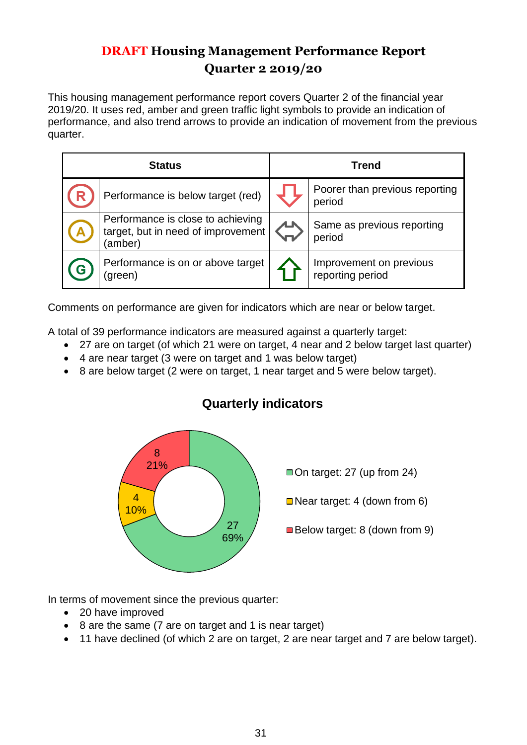# **DRAFT Housing Management Performance Report Quarter 2 2019/20**

This housing management performance report covers Quarter 2 of the financial year 2019/20. It uses red, amber and green traffic light symbols to provide an indication of performance, and also trend arrows to provide an indication of movement from the previous quarter.

| <b>Status</b>                                                                      | <b>Trend</b> |                                             |  |  |  |
|------------------------------------------------------------------------------------|--------------|---------------------------------------------|--|--|--|
| Performance is below target (red)                                                  |              | Poorer than previous reporting<br>period    |  |  |  |
| Performance is close to achieving<br>target, but in need of improvement<br>(amber) |              | Same as previous reporting<br>period        |  |  |  |
| Performance is on or above target<br>green)                                        |              | Improvement on previous<br>reporting period |  |  |  |

Comments on performance are given for indicators which are near or below target.

A total of 39 performance indicators are measured against a quarterly target:

- 27 are on target (of which 21 were on target, 4 near and 2 below target last quarter)
- 4 are near target (3 were on target and 1 was below target)
- 8 are below target (2 were on target, 1 near target and 5 were below target).



# **Quarterly indicators**

In terms of movement since the previous quarter:

- 20 have improved
- 8 are the same (7 are on target and 1 is near target)
- 11 have declined (of which 2 are on target, 2 are near target and 7 are below target).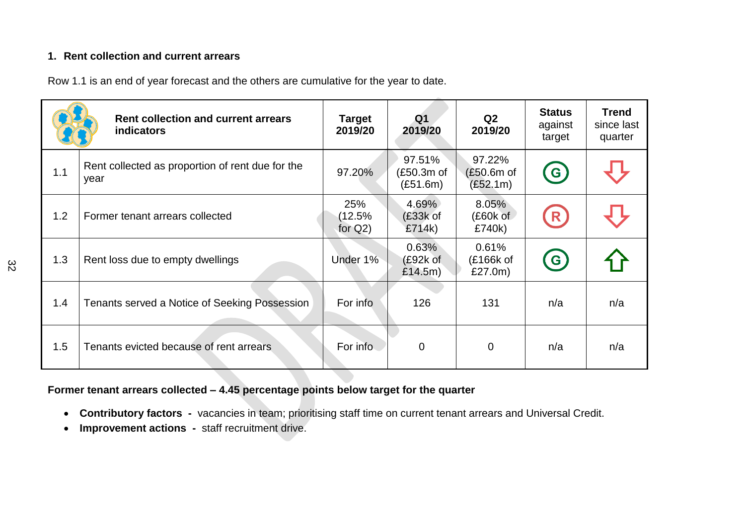#### **1. Rent collection and current arrears**

Row 1.1 is an end of year forecast and the others are cumulative for the year to date.

|     | <b>Rent collection and current arrears</b><br><b>indicators</b> | <b>Target</b><br>2019/20       | Q <sub>1</sub><br>2019/20        | Q2<br>2019/20                      | <b>Status</b><br>against<br>target | <b>Trend</b><br>since last<br>quarter |
|-----|-----------------------------------------------------------------|--------------------------------|----------------------------------|------------------------------------|------------------------------------|---------------------------------------|
| 1.1 | Rent collected as proportion of rent due for the<br>year        | 97.20%                         | 97.51%<br>(£50.3m of<br>(E51.6m) | 97.22%<br>$(E50.6m$ of<br>(E52.1m) | <b>G)</b>                          |                                       |
| 1.2 | Former tenant arrears collected                                 | 25%<br>$(12.5\%$<br>for $Q2$ ) | $4.69\%$<br>$(E33k$ of<br>£714k) | 8.05%<br>$(E60k$ of<br>£740k)      | (R)                                |                                       |
| 1.3 | Rent loss due to empty dwellings                                | Under 1%                       | 0.63%<br>(E92k of<br>£14.5m)     | 0.61%<br>(£166k of<br>£27.0m)      | $\left( G\right)$                  |                                       |
| 1.4 | Tenants served a Notice of Seeking Possession                   | For info                       | 126                              | 131                                | n/a                                | n/a                                   |
| 1.5 | Tenants evicted because of rent arrears                         | For info                       | $\overline{0}$                   | $\overline{0}$                     | n/a                                | n/a                                   |

### **Former tenant arrears collected – 4.45 percentage points below target for the quarter**

- **Contributory factors -** vacancies in team; prioritising staff time on current tenant arrears and Universal Credit.
- **Improvement actions** staff recruitment drive.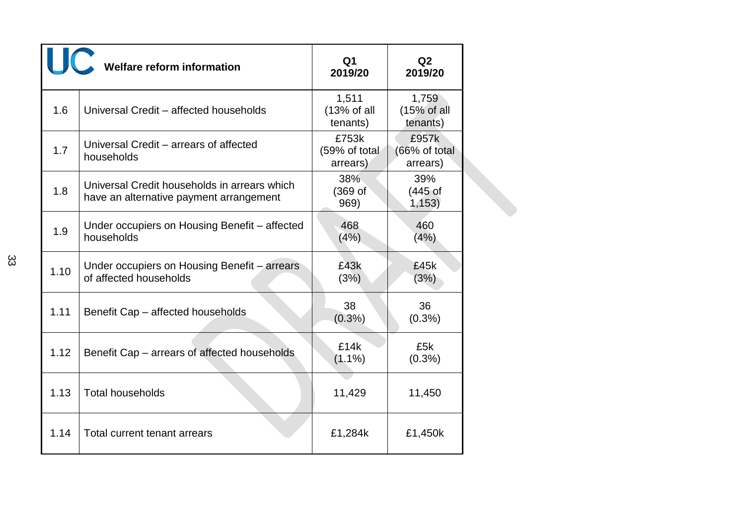|      | Welfare reform information                                                              | Q <sub>1</sub><br>2019/20          | Q <sub>2</sub><br>2019/20          |
|------|-----------------------------------------------------------------------------------------|------------------------------------|------------------------------------|
| 1.6  | Universal Credit - affected households                                                  | 1,511<br>(13% of all<br>tenants)   | 1,759<br>(15% of all<br>tenants)   |
| 1.7  | Universal Credit – arrears of affected<br>households                                    | £753k<br>(59% of total<br>arrears) | £957k<br>(66% of total<br>arrears) |
| 1.8  | Universal Credit households in arrears which<br>have an alternative payment arrangement | 38%<br>(369 <sub>o</sub> )<br>969) | 39%<br>$(445$ of<br>1,153)         |
| 1.9  | Under occupiers on Housing Benefit - affected<br>households                             | 468<br>(4%)                        | 460<br>(4%)                        |
| 1.10 | Under occupiers on Housing Benefit – arrears<br>of affected households                  | £43k<br>(3%)                       | £45k<br>(3%)                       |
| 1.11 | Benefit Cap - affected households                                                       | 38<br>$(0.3\%)$                    | 36<br>$(0.3\%)$                    |
| 1.12 | Benefit Cap – arrears of affected households                                            | £14k<br>$(1.1\%)$                  | £5k<br>$(0.3\%)$                   |
| 1.13 | <b>Total households</b>                                                                 | 11,429                             | 11,450                             |
| 1.14 | Total current tenant arrears                                                            | £1,284k                            | £1,450k                            |

33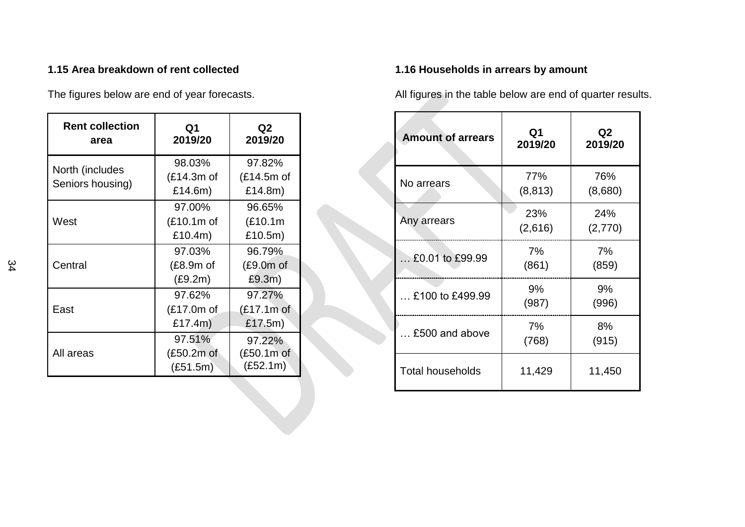### **1.15 Area breakdown of rent collected**

The figures below are end of year forecasts.

| <b>Rent collection</b><br>area      | Q1<br>2019/20                          | Q <sub>2</sub><br>2019/20          |
|-------------------------------------|----------------------------------------|------------------------------------|
| North (includes<br>Seniors housing) | 98.03%<br>$(E14.3m)$ of<br>£14.6m)     | 97.82%<br>$(E14.5m)$ of<br>£14.8m) |
| West                                | 97.00%<br>(£10.1m of<br>£10.4m)        | 96.65%<br>(E10.1m)<br>£10.5m)      |
| Central                             | 97.03%<br>$(E8.9m$ of<br>(E9.2m)       | 96.79%<br>(£9.0m of<br>£9.3m)      |
| East                                | 97.62%<br>$(E17.0m)$ of<br>£17.4 $m$ ) | 97.27%<br>(£17.1m of<br>£17.5m)    |
| All areas                           | 97.51%<br>(£50.2m of<br>(E51.5m)       | 97.22%<br>(£50.1m of<br>(E52.1m)   |

## **1.16 Households in arrears by amount**

All figures in the table below are end of quarter results.

| <b>Amount of arrears</b> | Q <sub>1</sub><br>2019/20 | Q <sub>2</sub><br>2019/20 |
|--------------------------|---------------------------|---------------------------|
| No arrears               | 77%<br>(8, 813)           | 76%<br>(8,680)            |
| Any arrears              | 23%<br>(2,616)            | 24%<br>(2,770)            |
| $$ £0.01 to £99.99       | 7%<br>(861)               | 7%<br>(859)               |
| £100 to £499.99          | 9%<br>(987)               | 9%<br>(996)               |
| £500 and above           | 7%<br>(768)               | 8%<br>(915)               |
| <b>Total households</b>  | 11,429                    | 11,450                    |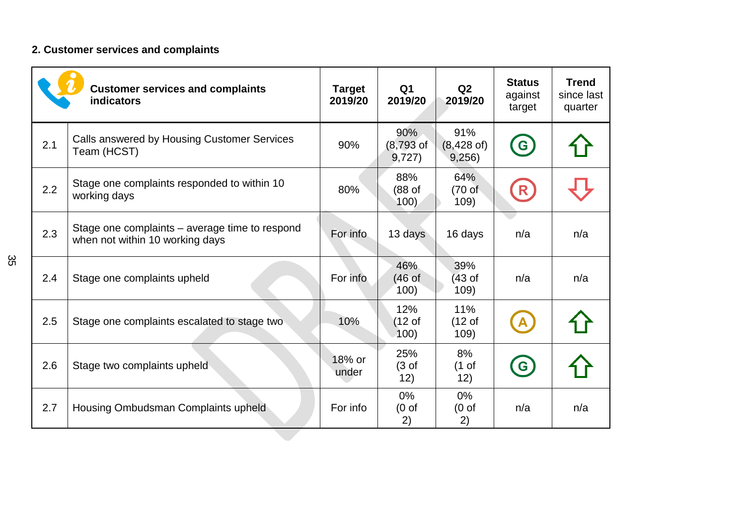# **2. Customer services and complaints**

|     | <b>Customer services and complaints</b><br>indicators                             | <b>Target</b><br>2019/20 | Q <sub>1</sub><br>2019/20          | Q2<br>2019/20                         | <b>Status</b><br>against<br>target | <b>Trend</b><br>since last<br>quarter |
|-----|-----------------------------------------------------------------------------------|--------------------------|------------------------------------|---------------------------------------|------------------------------------|---------------------------------------|
| 2.1 | Calls answered by Housing Customer Services<br>Team (HCST)                        | 90%                      | 90%<br>$(8,793)$ of<br>9,727)      | 91%<br>$(8,428 \text{ of})$<br>9,256) | G                                  |                                       |
| 2.2 | Stage one complaints responded to within 10<br>working days                       | 80%                      | 88%<br>$(88$ of<br>100)            | 64%<br>$(70 \text{ of }$<br>109)      | R                                  |                                       |
| 2.3 | Stage one complaints – average time to respond<br>when not within 10 working days | For info                 | 13 days                            | 16 days                               | n/a                                | n/a                                   |
| 2.4 | Stage one complaints upheld                                                       | For info                 | 46%<br>(46 <sub>of</sub> )<br>100) | 39%<br>(43 <sub>of</sub> )<br>109)    | n/a                                | n/a                                   |
| 2.5 | Stage one complaints escalated to stage two                                       | 10%                      | 12%<br>$(12 \text{ of }$<br>100)   | 11%<br>(12 <sub>of</sub> )<br>109)    |                                    |                                       |
| 2.6 | Stage two complaints upheld                                                       | 18% or<br>under          | 25%<br>$(3 \text{ of }$<br>12)     | 8%<br>$(1 \text{ of }$<br>12)         | $\mathbf{G}$                       |                                       |
| 2.7 | Housing Ombudsman Complaints upheld                                               | For info                 | $0\%$<br>(0 <sub>o</sub> )<br>2)   | $0\%$<br>(0 <sub>o</sub> )<br>2)      | n/a                                | n/a                                   |

35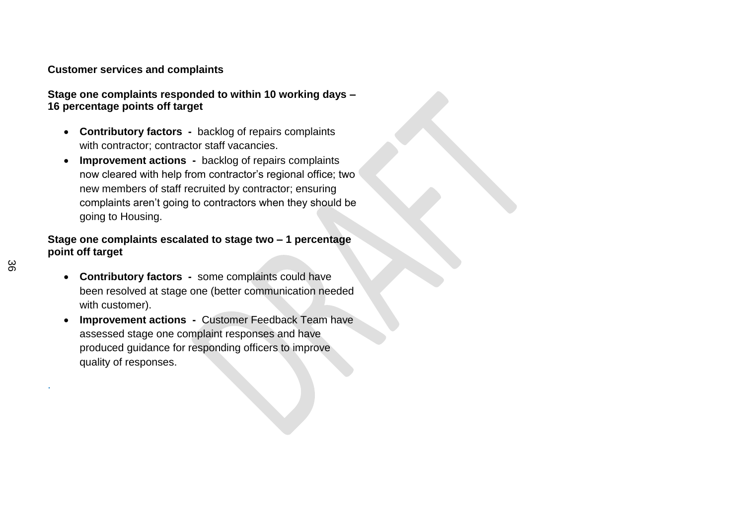#### **Customer services and complaints**

**Stage one complaints responded to within 10 working days – 16 percentage points off target**

- **Contributory factors** backlog of repairs complaints with contractor; contractor staff vacancies.
- **Improvement actions -** backlog of repairs complaints now cleared with help from contractor's regional office; two new members of staff recruited by contractor; ensuring complaints aren't going to contractors when they should be going to Housing.

#### **Stage one complaints escalated to stage two – 1 percentage point off target**

- **Contributory factors** some complaints could have been resolved at stage one (better communication needed with customer).
- **Improvement actions** Customer Feedback Team have assessed stage one complaint responses and have produced guidance for responding officers to improve quality of responses.

.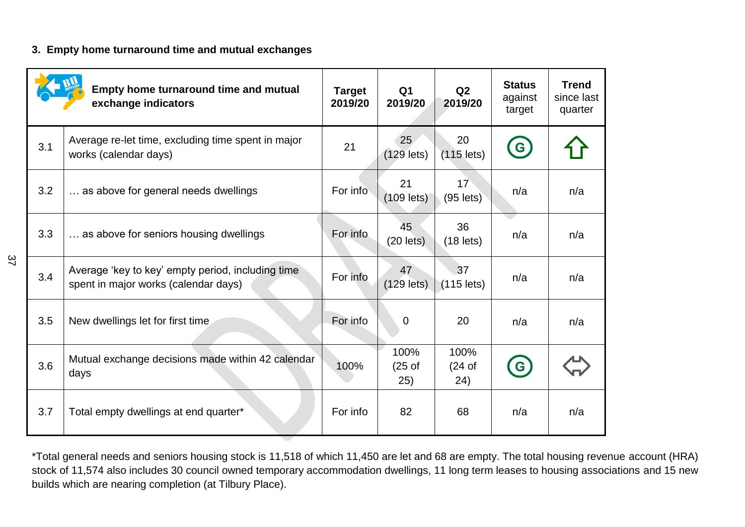#### **3. Empty home turnaround time and mutual exchanges**

|     | Empty home turnaround time and mutual<br>exchange indicators                              | <b>Target</b><br>2019/20 | Q1<br>2019/20                      | Q2<br>2019/20                      | <b>Status</b><br>against<br>target | <b>Trend</b><br>since last<br>quarter |
|-----|-------------------------------------------------------------------------------------------|--------------------------|------------------------------------|------------------------------------|------------------------------------|---------------------------------------|
| 3.1 | Average re-let time, excluding time spent in major<br>works (calendar days)               | 21                       | 25<br>$(129$ lets)                 | 20<br>$(115$ lets)                 | $\mathbf{G}$                       |                                       |
| 3.2 | as above for general needs dwellings                                                      | For info                 | 21<br>$(109$ lets)                 | 17<br>$(95$ lets)                  | n/a                                | n/a                                   |
| 3.3 | as above for seniors housing dwellings                                                    | For info                 | 45<br>$(20$ lets)                  | 36<br>$(18$ lets)                  | n/a                                | n/a                                   |
| 3.4 | Average 'key to key' empty period, including time<br>spent in major works (calendar days) | For info                 | 47<br>$(129$ lets)                 | 37<br>$(115$ lets)                 | n/a                                | n/a                                   |
| 3.5 | New dwellings let for first time                                                          | For info                 | 0                                  | 20                                 | n/a                                | n/a                                   |
| 3.6 | Mutual exchange decisions made within 42 calendar<br>days                                 | 100%                     | 100%<br>(25 <sub>of</sub> )<br>25) | 100%<br>(24 <sub>of</sub> )<br>24) | G                                  |                                       |
| 3.7 | Total empty dwellings at end quarter*                                                     | For info                 | 82                                 | 68                                 | n/a                                | n/a                                   |

\*Total general needs and seniors housing stock is 11,518 of which 11,450 are let and 68 are empty. The total housing revenue account (HRA) stock of 11,574 also includes 30 council owned temporary accommodation dwellings, 11 long term leases to housing associations and 15 new builds which are nearing completion (at Tilbury Place).

37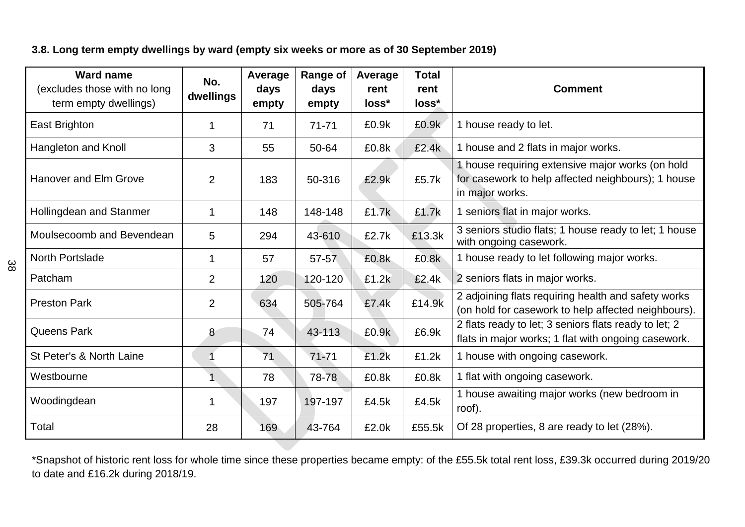### **3.8. Long term empty dwellings by ward (empty six weeks or more as of 30 September 2019)**

| <b>Ward name</b><br>(excludes those with no long<br>term empty dwellings) | No.<br>dwellings | Average<br>days<br>empty | Range of<br>days<br>empty | Average<br>rent<br>loss* | <b>Total</b><br>rent<br>loss* | <b>Comment</b>                                                                                                            |
|---------------------------------------------------------------------------|------------------|--------------------------|---------------------------|--------------------------|-------------------------------|---------------------------------------------------------------------------------------------------------------------------|
| East Brighton                                                             | 1                | 71                       | $71 - 71$                 | £0.9k                    | £0.9k                         | 1 house ready to let.                                                                                                     |
| Hangleton and Knoll                                                       | 3                | 55                       | 50-64                     | £0.8k                    | £2.4k                         | 1 house and 2 flats in major works.                                                                                       |
| <b>Hanover and Elm Grove</b>                                              | 2                | 183                      | 50-316                    | £2.9k                    | £5.7k                         | 1 house requiring extensive major works (on hold<br>for casework to help affected neighbours); 1 house<br>in major works. |
| Hollingdean and Stanmer                                                   | 1                | 148                      | 148-148                   | £1.7k                    | £1.7k                         | 1 seniors flat in major works.                                                                                            |
| Moulsecoomb and Bevendean                                                 | 5                | 294                      | 43-610                    | £2.7k                    | £13.3k                        | 3 seniors studio flats; 1 house ready to let; 1 house<br>with ongoing casework.                                           |
| <b>North Portslade</b>                                                    | 1                | 57                       | 57-57                     | £0.8k                    | £0.8k                         | 1 house ready to let following major works.                                                                               |
| Patcham                                                                   | $\overline{2}$   | 120                      | 120-120                   | £1.2k                    | £2.4k                         | 2 seniors flats in major works.                                                                                           |
| <b>Preston Park</b>                                                       | 2                | 634                      | 505-764                   | £7.4k                    | £14.9k                        | 2 adjoining flats requiring health and safety works<br>(on hold for casework to help affected neighbours).                |
| <b>Queens Park</b>                                                        | 8                | 74                       | 43-113                    | £0.9k                    | £6.9k                         | 2 flats ready to let; 3 seniors flats ready to let; 2<br>flats in major works; 1 flat with ongoing casework.              |
| St Peter's & North Laine                                                  | 1                | 71                       | $71 - 71$                 | £1.2k                    | £1.2k                         | 1 house with ongoing casework.                                                                                            |
| Westbourne                                                                |                  | 78                       | 78-78                     | £0.8k                    | £0.8k                         | 1 flat with ongoing casework.                                                                                             |
| Woodingdean                                                               | 1                | 197                      | 197-197                   | £4.5k                    | £4.5k                         | 1 house awaiting major works (new bedroom in<br>roof).                                                                    |
| Total                                                                     | 28               | 169                      | 43-764                    | £2.0k                    | £55.5k                        | Of 28 properties, 8 are ready to let (28%).                                                                               |

\*Snapshot of historic rent loss for whole time since these properties became empty: of the £55.5k total rent loss, £39.3k occurred during 2019/20 to date and £16.2k during 2018/19.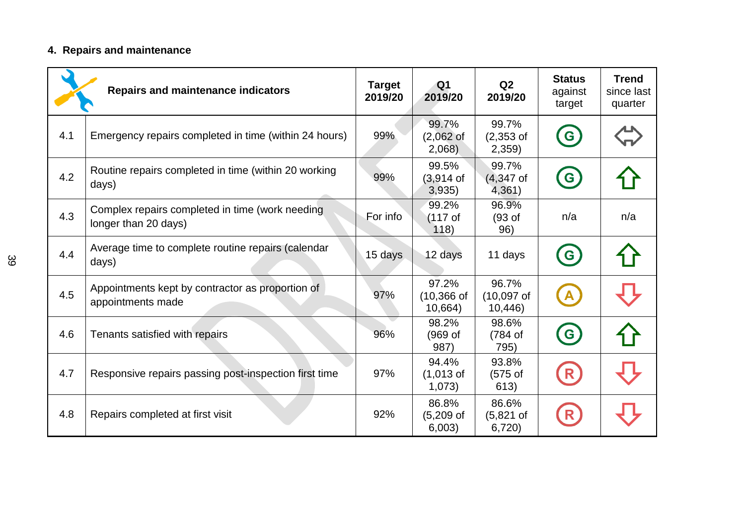# **4. Repairs and maintenance**

|     | <b>Repairs and maintenance indicators</b>                               | <b>Target</b><br>2019/20 | Q <sub>1</sub><br>2019/20          | Q2<br>2019/20                   | <b>Status</b><br>against<br>target | <b>Trend</b><br>since last<br>quarter |
|-----|-------------------------------------------------------------------------|--------------------------|------------------------------------|---------------------------------|------------------------------------|---------------------------------------|
| 4.1 | Emergency repairs completed in time (within 24 hours)                   | 99%                      | 99.7%<br>(2,062 of<br>2,068        | 99.7%<br>$(2,353$ of<br>2,359   | G                                  |                                       |
| 4.2 | Routine repairs completed in time (within 20 working<br>days)           | 99%                      | 99.5%<br>(3,914 of<br>3,935)       | 99.7%<br>$(4,347)$ of<br>4,361) | $\left(  G\right)$                 |                                       |
| 4.3 | Complex repairs completed in time (work needing<br>longer than 20 days) | For info                 | 99.2%<br>$(117$ of<br>118)         | 96.9%<br>(93 of<br>96)          | n/a                                | n/a                                   |
| 4.4 | Average time to complete routine repairs (calendar<br>days)             | 15 days                  | 12 days                            | 11 days                         | $\epsilon$                         |                                       |
| 4.5 | Appointments kept by contractor as proportion of<br>appointments made   | 97%                      | 97.2%<br>$(10, 366)$ of<br>10,664) | 96.7%<br>$(10,097$ of<br>10,446 | A                                  |                                       |
| 4.6 | Tenants satisfied with repairs                                          | 96%                      | 98.2%<br>(969 of<br>987)           | 98.6%<br>(784 of<br>795)        | $\left( G\right)$                  |                                       |
| 4.7 | Responsive repairs passing post-inspection first time                   | 97%                      | 94.4%<br>$(1,013$ of<br>1,073)     | 93.8%<br>$(575$ of<br>613)      | (R)                                |                                       |
| 4.8 | Repairs completed at first visit                                        | 92%                      | 86.8%<br>$(5,209$ of<br>6,003)     | 86.6%<br>$(5,821$ of<br>6,720   | R                                  |                                       |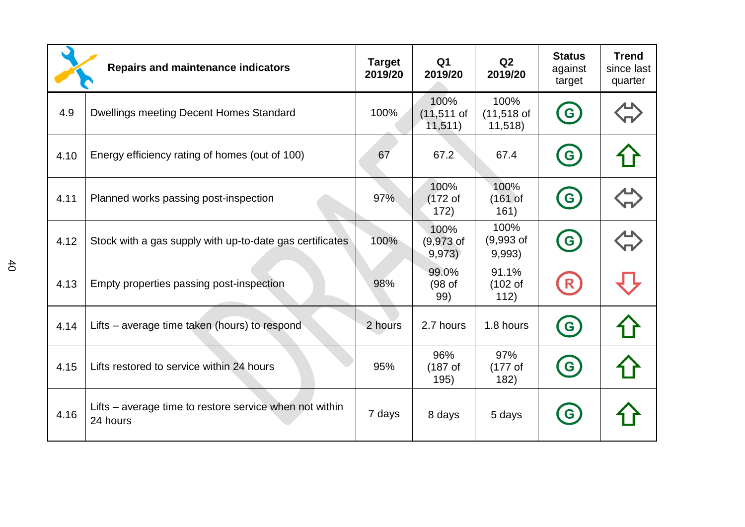|      | <b>Repairs and maintenance indicators</b>                           | <b>Target</b><br>2019/20 | Q <sub>1</sub><br>2019/20           | Q2<br>2019/20                        | <b>Status</b><br>against<br>target             | <b>Trend</b><br>since last<br>quarter |
|------|---------------------------------------------------------------------|--------------------------|-------------------------------------|--------------------------------------|------------------------------------------------|---------------------------------------|
| 4.9  | <b>Dwellings meeting Decent Homes Standard</b>                      | 100%                     | 100%<br>$(11, 511)$ of<br>11,511)   | 100%<br>$(11,518)$ of<br>11,518      | $\left( $                                      |                                       |
| 4.10 | Energy efficiency rating of homes (out of 100)                      | 67                       | 67.2                                | 67.4                                 | $\left( \mathbf{e}\right)$                     |                                       |
| 4.11 | Planned works passing post-inspection                               | 97%                      | 100%<br>$(172$ of<br>172)           | 100%<br>(161 <sub>of</sub> )<br>161) | $\mathbf{G}$                                   |                                       |
| 4.12 | Stock with a gas supply with up-to-date gas certificates            | 100%                     | 100%<br>$(9,973$ of<br>9,973)       | 100%<br>$(9,993$ of<br>9,993)        | $\bullet$                                      |                                       |
| 4.13 | Empty properties passing post-inspection                            | 98%                      | 99.0%<br>(98 <sub>of</sub> )<br>99) | 91.1%<br>(102 <sub>o</sub> )<br>112) | (R)                                            |                                       |
| 4.14 | Lifts – average time taken (hours) to respond                       | 2 hours                  | 2.7 hours                           | 1.8 hours                            | $\left( \begin{matrix} 6 \end{matrix} \right)$ |                                       |
| 4.15 | Lifts restored to service within 24 hours                           | 95%                      | 96%<br>(187 <sub>of</sub> )<br>195) | 97%<br>$(177$ of<br>182)             | G                                              |                                       |
| 4.16 | Lifts – average time to restore service when not within<br>24 hours | 7 days                   | 8 days                              | 5 days                               | $\mathbf{G}$                                   |                                       |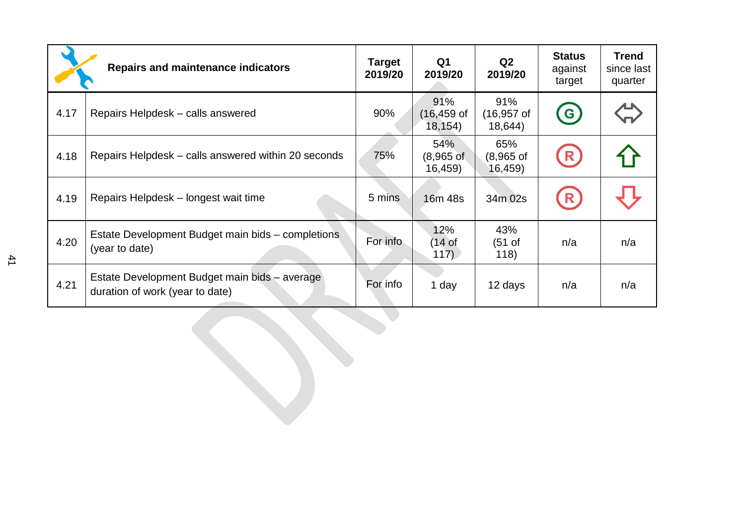|      | <b>Repairs and maintenance indicators</b>                                        | Target<br>2019/20 | Q1<br>2019/20                    | Q2<br>2019/20                          | <b>Status</b><br>against<br>target | <b>Trend</b><br>since last<br>quarter |
|------|----------------------------------------------------------------------------------|-------------------|----------------------------------|----------------------------------------|------------------------------------|---------------------------------------|
| 4.17 | Repairs Helpdesk – calls answered                                                | 90%               | 91%<br>$(16, 459)$ of<br>18,154) | 91%<br>$(16, 957)$ of<br>18,644        | (G)                                |                                       |
| 4.18 | Repairs Helpdesk – calls answered within 20 seconds                              | 75%               | 54%<br>$(8,965$ of<br>16,459)    | 65%<br>$(8,965 \text{ of }$<br>16,459) | (R)                                |                                       |
| 4.19 | Repairs Helpdesk – longest wait time                                             | 5 mins            | 16 <sub>m</sub> 48s              | 34m 02s                                | R                                  |                                       |
| 4.20 | Estate Development Budget main bids – completions<br>(year to date)              | For info          | 12%<br>14 of<br>117)             | 43%<br>$(51 \text{ of }$<br>118)       | n/a                                | n/a                                   |
| 4.21 | Estate Development Budget main bids – average<br>duration of work (year to date) | For info          | 1 day                            | 12 days                                | n/a                                | n/a                                   |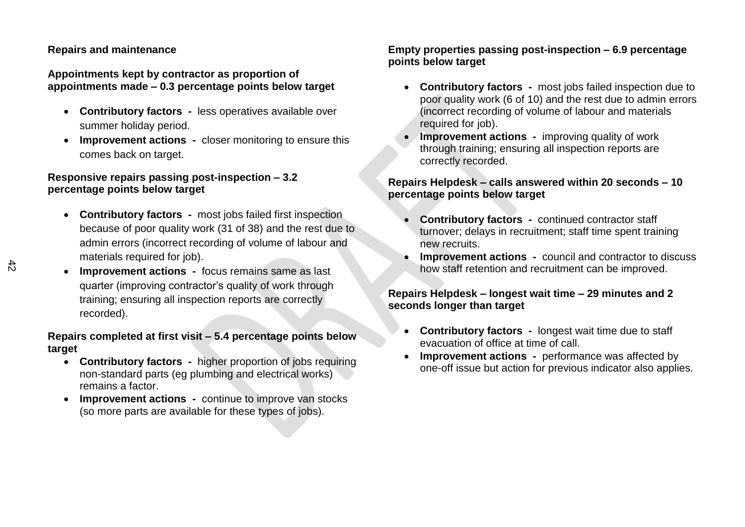#### **Repairs and maintenance**

#### **Appointments kept by contractor as proportion of appointments made – 0.3 percentage points below target**

- **Contributory factors -** less operatives available over summer holiday period.
- **Improvement actions** closer monitoring to ensure this comes back on target.

#### **Responsive repairs passing post-inspection – 3.2 percentage points below target**

- **Contributory factors -** most jobs failed first inspection because of poor quality work (31 of 38) and the rest due to admin errors (incorrect recording of volume of labour and materials required for job).
- **Improvement actions** focus remains same as last quarter (improving contractor's quality of work through training; ensuring all inspection reports are correctly recorded).

#### **Repairs completed at first visit – 5.4 percentage points below target**

- **Contributory factors -** higher proportion of jobs requiring non-standard parts (eg plumbing and electrical works) remains a factor.
- **Improvement actions** continue to improve van stocks (so more parts are available for these types of jobs).

#### **Empty properties passing post-inspection – 6.9 percentage points below target**

- **Contributory factors -** most jobs failed inspection due to poor quality work (6 of 10) and the rest due to admin errors (incorrect recording of volume of labour and materials required for job).
- **Improvement actions** improving quality of work through training; ensuring all inspection reports are correctly recorded.

#### **Repairs Helpdesk – calls answered within 20 seconds – 10 percentage points below target**

- **Contributory factors -** continued contractor staff turnover; delays in recruitment; staff time spent training new recruits.
- **Improvement actions** council and contractor to discuss how staff retention and recruitment can be improved.

#### **Repairs Helpdesk – longest wait time – 29 minutes and 2 seconds longer than target**

- **Contributory factors -** longest wait time due to staff evacuation of office at time of call.
- **Improvement actions** performance was affected by one-off issue but action for previous indicator also applies.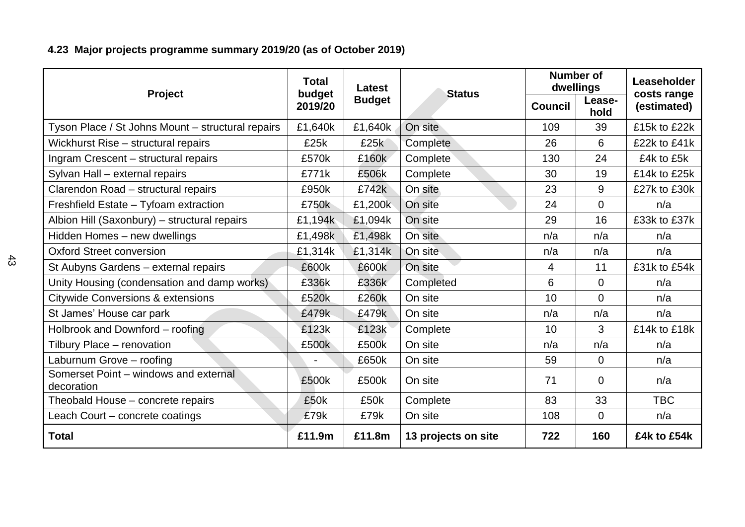# **4.23 Major projects programme summary 2019/20 (as of October 2019)**

|                                                     | <b>Total</b><br>Latest |               |                     |                | <b>Number of</b><br>dwellings | Leaseholder                |
|-----------------------------------------------------|------------------------|---------------|---------------------|----------------|-------------------------------|----------------------------|
| <b>Project</b>                                      | budget<br>2019/20      | <b>Budget</b> | <b>Status</b>       | <b>Council</b> | Lease-<br>hold                | costs range<br>(estimated) |
| Tyson Place / St Johns Mount - structural repairs   | £1,640k                | £1,640k       | On site             | 109            | 39                            | £15k to £22k               |
| Wickhurst Rise - structural repairs                 | £25k                   | £25k          | Complete            | 26             | 6                             | £22k to £41k               |
| Ingram Crescent - structural repairs                | £570k                  | £160k         | Complete            | 130            | 24                            | £4k to £5k                 |
| Sylvan Hall - external repairs                      | £771k                  | £506k         | Complete            | 30             | 19                            | £14k to £25k               |
| Clarendon Road - structural repairs                 | £950k                  | £742k         | On site             | 23             | 9                             | £27k to £30k               |
| Freshfield Estate - Tyfoam extraction               | £750k                  | £1,200k       | On site             | 24             | $\overline{0}$                | n/a                        |
| Albion Hill (Saxonbury) - structural repairs        | £1,194k                | £1,094k       | On site             | 29             | 16                            | £33k to £37k               |
| Hidden Homes - new dwellings                        | £1,498k                | £1,498k       | On site             | n/a            | n/a                           | n/a                        |
| <b>Oxford Street conversion</b>                     | £1,314k                | £1,314k       | On site             | n/a            | n/a                           | n/a                        |
| St Aubyns Gardens - external repairs                | £600k                  | £600k         | On site             | 4              | 11                            | £31k to £54k               |
| Unity Housing (condensation and damp works)         | £336k                  | £336k         | Completed           | 6              | $\mathbf 0$                   | n/a                        |
| <b>Citywide Conversions &amp; extensions</b>        | £520k                  | £260k         | On site             | 10             | $\Omega$                      | n/a                        |
| St James' House car park                            | £479k                  | £479k         | On site             | n/a            | n/a                           | n/a                        |
| Holbrook and Downford - roofing                     | £123k                  | £123k         | Complete            | 10             | 3                             | £14k to £18k               |
| Tilbury Place - renovation                          | £500k                  | £500k         | On site             | n/a            | n/a                           | n/a                        |
| Laburnum Grove - roofing                            |                        | £650k         | On site             | 59             | $\overline{0}$                | n/a                        |
| Somerset Point - windows and external<br>decoration | £500k                  | £500k         | On site             | 71             | $\overline{0}$                | n/a                        |
| Theobald House - concrete repairs                   | £50k                   | £50k          | Complete            | 83             | 33                            | <b>TBC</b>                 |
| Leach Court - concrete coatings                     | £79k                   | £79k          | On site             | 108            | $\Omega$                      | n/a                        |
| <b>Total</b>                                        | £11.9m                 | £11.8m        | 13 projects on site | 722            | 160                           | £4k to £54k                |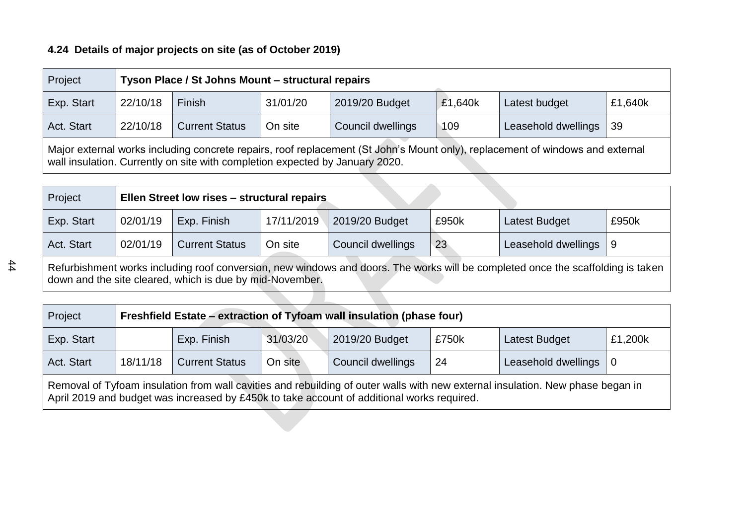### **4.24 Details of major projects on site (as of October 2019)**

| Project                                                                                                                                                                                                       |                                                                                                               | Tyson Place / St Johns Mount - structural repairs                           |  |  |  |  |  |  |  |  |  |
|---------------------------------------------------------------------------------------------------------------------------------------------------------------------------------------------------------------|---------------------------------------------------------------------------------------------------------------|-----------------------------------------------------------------------------|--|--|--|--|--|--|--|--|--|
| Exp. Start                                                                                                                                                                                                    | 22/10/18                                                                                                      | Finish<br>2019/20 Budget<br>31/01/20<br>£1,640k<br>Latest budget<br>£1,640k |  |  |  |  |  |  |  |  |  |
| Act. Start                                                                                                                                                                                                    | On site<br>Leasehold dwellings<br>22/10/18<br><b>Current Status</b><br>Council dwellings<br>109<br>$\vert$ 39 |                                                                             |  |  |  |  |  |  |  |  |  |
| Major external works including concrete repairs, roof replacement (St John's Mount only), replacement of windows and external<br>wall insulation. Currently on site with completion expected by January 2020. |                                                                                                               |                                                                             |  |  |  |  |  |  |  |  |  |

| Project    | Ellen Street low rises - structural repairs                                                                                        |                       |            |                        |       |                         |       |  |  |
|------------|------------------------------------------------------------------------------------------------------------------------------------|-----------------------|------------|------------------------|-------|-------------------------|-------|--|--|
| Exp. Start | 02/01/19                                                                                                                           | Exp. Finish           | 17/11/2019 | $\vert$ 2019/20 Budget | £950k | <b>Latest Budget</b>    | £950k |  |  |
| Act. Start | 02/01/19                                                                                                                           | <b>Current Status</b> | On site    | Council dwellings      | 23    | Leasehold dwellings   9 |       |  |  |
|            | Definitions and washed including seed comparison powying down and doose. The washed will be completed once the coeffeding in token |                       |            |                        |       |                         |       |  |  |

Refurbishment works including roof conversion, new windows and doors. The works will be completed once the scaffolding is taken down and the site cleared, which is due by mid-November.

| Project                                                                                                                                                                                                                      |  | Freshfield Estate – extraction of Tyfoam wall insulation (phase four)          |  |  |  |  |  |  |  |  |
|------------------------------------------------------------------------------------------------------------------------------------------------------------------------------------------------------------------------------|--|--------------------------------------------------------------------------------|--|--|--|--|--|--|--|--|
| Exp. Start                                                                                                                                                                                                                   |  | 31/03/20<br>2019/20 Budget<br>£1,200k<br>Exp. Finish<br>£750k<br>Latest Budget |  |  |  |  |  |  |  |  |
| Act. Start<br>On site<br>Leasehold dwellings   0<br><b>Current Status</b><br>18/11/18<br>Council dwellings<br>24                                                                                                             |  |                                                                                |  |  |  |  |  |  |  |  |
| Removal of Tyfoam insulation from wall cavities and rebuilding of outer walls with new external insulation. New phase began in<br>April 2019 and budget was increased by £450k to take account of additional works required. |  |                                                                                |  |  |  |  |  |  |  |  |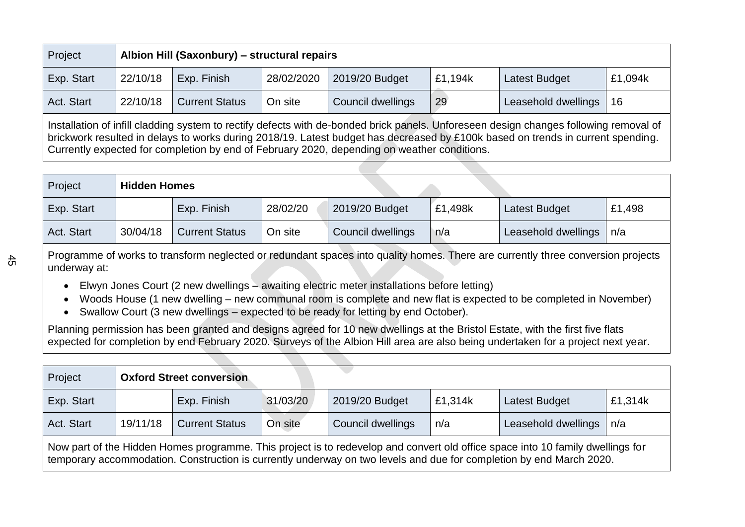| Project    |                                                                                                                                                                                                                                                                                                                                                                         | Albion Hill (Saxonbury) – structural repairs |            |                   |         |                      |         |  |  |  |  |
|------------|-------------------------------------------------------------------------------------------------------------------------------------------------------------------------------------------------------------------------------------------------------------------------------------------------------------------------------------------------------------------------|----------------------------------------------|------------|-------------------|---------|----------------------|---------|--|--|--|--|
| Exp. Start | 22/10/18                                                                                                                                                                                                                                                                                                                                                                | Exp. Finish                                  | 28/02/2020 | 2019/20 Budget    | £1,194k | <b>Latest Budget</b> | £1,094k |  |  |  |  |
| Act. Start | 22/10/18                                                                                                                                                                                                                                                                                                                                                                | <b>Current Status</b>                        | On site    | Council dwellings | 29      | Leasehold dwellings  | 16      |  |  |  |  |
|            | Installation of infill cladding system to rectify defects with de-bonded brick panels. Unforeseen design changes following removal of<br>brickwork resulted in delays to works during 2018/19. Latest budget has decreased by £100k based on trends in current spending.<br>Currently expected for completion by end of February 2020, depending on weather conditions. |                                              |            |                   |         |                      |         |  |  |  |  |

| Project    | <b>Hidden Homes</b> |                       |          |                   |         |                      |        |
|------------|---------------------|-----------------------|----------|-------------------|---------|----------------------|--------|
| Exp. Start |                     | Exp. Finish           | 28/02/20 | 2019/20 Budget    | £1,498k | <b>Latest Budget</b> | £1,498 |
| Act. Start | 30/04/18            | <b>Current Status</b> | On site  | Council dwellings | n/a     | Leasehold dwellings  | n/a    |

Programme of works to transform neglected or redundant spaces into quality homes. There are currently three conversion projects underway at:

- Elwyn Jones Court (2 new dwellings awaiting electric meter installations before letting)
- Woods House (1 new dwelling new communal room is complete and new flat is expected to be completed in November)
- Swallow Court (3 new dwellings expected to be ready for letting by end October).

Planning permission has been granted and designs agreed for 10 new dwellings at the Bristol Estate, with the first five flats expected for completion by end February 2020. Surveys of the Albion Hill area are also being undertaken for a project next year.

| Project                                                                                                                                                                                                                                               | <b>Oxford Street conversion</b> |             |          |                |         |               |         |  |  |
|-------------------------------------------------------------------------------------------------------------------------------------------------------------------------------------------------------------------------------------------------------|---------------------------------|-------------|----------|----------------|---------|---------------|---------|--|--|
| Exp. Start                                                                                                                                                                                                                                            |                                 | Exp. Finish | 31/03/20 | 2019/20 Budget | £1,314k | Latest Budget | £1,314k |  |  |
| On site<br>Leasehold dwellings<br>19/11/18<br><b>Current Status</b><br>Act. Start<br>Council dwellings<br>n/a<br>n/a                                                                                                                                  |                                 |             |          |                |         |               |         |  |  |
| Now part of the Hidden Homes programme. This project is to redevelop and convert old office space into 10 family dwellings for<br>temporary accommodation. Construction is currently underway on two levels and due for completion by end March 2020. |                                 |             |          |                |         |               |         |  |  |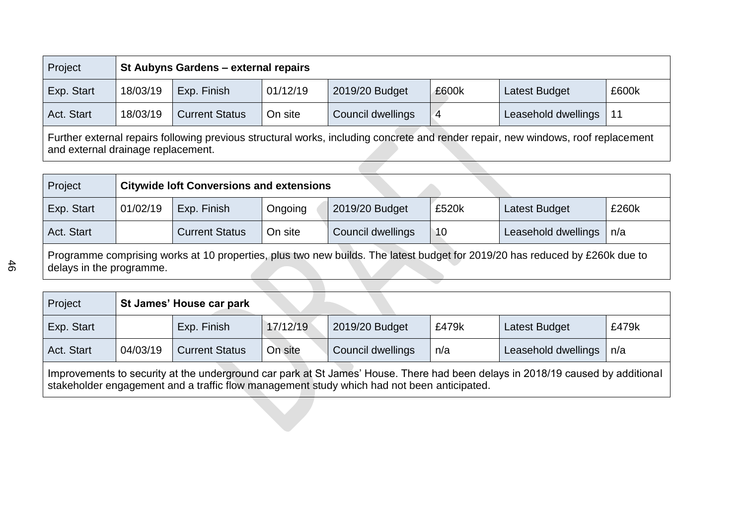| Project    |                                                                                                                                                                         | St Aubyns Gardens - external repairs |          |                   |       |                      |       |  |  |  |  |
|------------|-------------------------------------------------------------------------------------------------------------------------------------------------------------------------|--------------------------------------|----------|-------------------|-------|----------------------|-------|--|--|--|--|
| Exp. Start | 18/03/19                                                                                                                                                                | Exp. Finish                          | 01/12/19 | 2019/20 Budget    | £600k | <b>Latest Budget</b> | £600k |  |  |  |  |
| Act. Start | 18/03/19                                                                                                                                                                | <b>Current Status</b>                | On site  | Council dwellings |       | Leasehold dwellings  | 11    |  |  |  |  |
|            | Further external repairs following previous structural works, including concrete and render repair, new windows, roof replacement<br>and external drainage replacement. |                                      |          |                   |       |                      |       |  |  |  |  |

| Project                                                                                                                                                 |          | <b>Citywide loft Conversions and extensions</b> |         |                   |       |                     |       |  |  |  |
|---------------------------------------------------------------------------------------------------------------------------------------------------------|----------|-------------------------------------------------|---------|-------------------|-------|---------------------|-------|--|--|--|
| Exp. Start                                                                                                                                              | 01/02/19 | Exp. Finish                                     | Ongoing | 2019/20 Budget    | £520k | Latest Budget       | £260k |  |  |  |
| Act. Start                                                                                                                                              |          | <b>Current Status</b>                           | On site | Council dwellings | 10    | Leasehold dwellings | n/a   |  |  |  |
| Programme comprising works at 10 properties, plus two new builds. The latest budget for 2019/20 has reduced by £260k due to<br>delays in the programme. |          |                                                 |         |                   |       |                     |       |  |  |  |

| Project    |                                                                                                                                                                                                                              | St James' House car park |          |                   |       |                     |         |  |  |  |
|------------|------------------------------------------------------------------------------------------------------------------------------------------------------------------------------------------------------------------------------|--------------------------|----------|-------------------|-------|---------------------|---------|--|--|--|
| Exp. Start |                                                                                                                                                                                                                              | Exp. Finish              | 17/12/19 | 2019/20 Budget    | £479k | Latest Budget       | £479k   |  |  |  |
| Act. Start | 04/03/19                                                                                                                                                                                                                     | <b>Current Status</b>    | On site  | Council dwellings | n/a   | Leasehold dwellings | $\ln/a$ |  |  |  |
|            | Improvements to security at the underground car park at St James' House. There had been delays in 2018/19 caused by additional<br>stakeholder engagement and a traffic flow management study which had not been anticipated. |                          |          |                   |       |                     |         |  |  |  |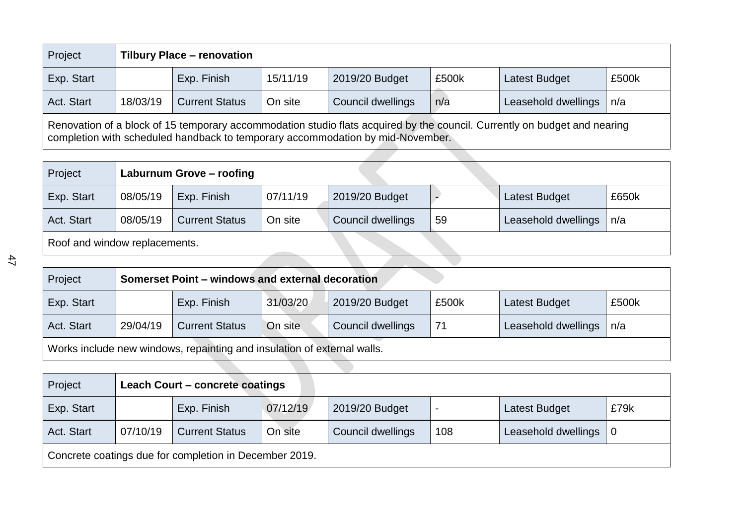| Project    | <b>Tilbury Place - renovation</b>                                                                                                                                                                           |                                                                              |         |                   |     |                     |     |  |  |  |
|------------|-------------------------------------------------------------------------------------------------------------------------------------------------------------------------------------------------------------|------------------------------------------------------------------------------|---------|-------------------|-----|---------------------|-----|--|--|--|
| Exp. Start |                                                                                                                                                                                                             | Exp. Finish<br>15/11/19<br>2019/20 Budget<br>£500k<br>Latest Budget<br>£500k |         |                   |     |                     |     |  |  |  |
| Act. Start | 18/03/19                                                                                                                                                                                                    | <b>Current Status</b>                                                        | On site | Council dwellings | n/a | Leasehold dwellings | n/a |  |  |  |
|            | Renovation of a block of 15 temporary accommodation studio flats acquired by the council. Currently on budget and nearing<br>completion with scheduled handback to temporary accommodation by mid-November. |                                                                              |         |                   |     |                     |     |  |  |  |

| Project                       | Laburnum Grove - roofing |                       |          |                   |    |                     |       |  |
|-------------------------------|--------------------------|-----------------------|----------|-------------------|----|---------------------|-------|--|
| Exp. Start                    | 08/05/19                 | Exp. Finish           | 07/11/19 | 2019/20 Budget    |    | Latest Budget       | £650k |  |
| Act. Start                    | 08/05/19                 | <b>Current Status</b> | On site  | Council dwellings | 59 | Leasehold dwellings | n/a   |  |
| Roof and window replacements. |                          |                       |          |                   |    |                     |       |  |
|                               |                          |                       |          |                   |    |                     |       |  |

| Project                                                                 |          | Somerset Point – windows and external decoration |          |                   |       |                      |       |  |  |  |
|-------------------------------------------------------------------------|----------|--------------------------------------------------|----------|-------------------|-------|----------------------|-------|--|--|--|
| Exp. Start                                                              |          | Exp. Finish                                      | 31/03/20 | 2019/20 Budget    | £500k | <b>Latest Budget</b> | £500k |  |  |  |
| Act. Start                                                              | 29/04/19 | <b>Current Status</b>                            | On site  | Council dwellings | 71    | Leasehold dwellings  | n/a   |  |  |  |
| Works include new windows, repainting and insulation of external walls. |          |                                                  |          |                   |       |                      |       |  |  |  |
|                                                                         |          |                                                  |          |                   |       |                      |       |  |  |  |

| Project                                                | <b>Leach Court - concrete coatings</b> |                       |          |                   |     |                      |      |  |  |
|--------------------------------------------------------|----------------------------------------|-----------------------|----------|-------------------|-----|----------------------|------|--|--|
| Exp. Start                                             |                                        | Exp. Finish           | 07/12/19 | 2019/20 Budget    |     | <b>Latest Budget</b> | £79k |  |  |
| Act. Start                                             | 07/10/19                               | <b>Current Status</b> | On site  | Council dwellings | 108 | Leasehold dwellings  |      |  |  |
| Concrete coatings due for completion in December 2019. |                                        |                       |          |                   |     |                      |      |  |  |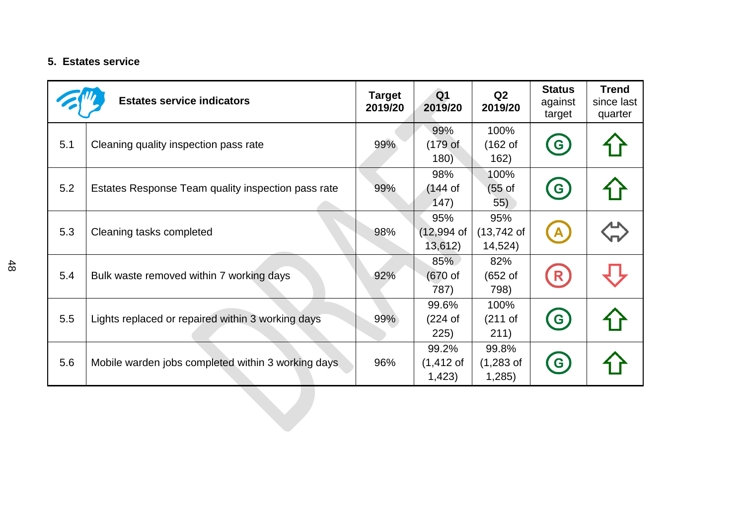### **5. Estates service**

|     | <b>Estates service indicators</b>                  | <b>Target</b><br>2019/20 | Q <sub>1</sub><br>2019/20                | Q2<br>2019/20                       | <b>Status</b><br>against<br>target | <b>Trend</b><br>since last<br>quarter |
|-----|----------------------------------------------------|--------------------------|------------------------------------------|-------------------------------------|------------------------------------|---------------------------------------|
| 5.1 | Cleaning quality inspection pass rate              | 99%                      | 99%<br>$(179$ of<br>180)                 | 100%<br>(162 <sub>o</sub> )<br>162) | $\left($ G                         |                                       |
| 5.2 | Estates Response Team quality inspection pass rate | 99%                      | 98%<br>(144 of<br>(147)                  | 100%<br>$(55 \text{ of }$<br>55)    | G                                  |                                       |
| 5.3 | Cleaning tasks completed                           | 98%                      | 95%<br>$(12,994$ of<br>13,612)           | 95%<br>$(13,742)$ of<br>14,524)     | $\overline{A}$                     |                                       |
| 5.4 | Bulk waste removed within 7 working days           | 92%                      | 85%<br>$(670$ of<br>787)                 | 82%<br>(652 <sub>o</sub> )<br>798)  | R                                  |                                       |
| 5.5 | Lights replaced or repaired within 3 working days  | 99%                      | 99.6%<br>$(224$ of<br>225)               | 100%<br>$(211$ of<br>211)           | $\left( \mathbf{G}\right)$         |                                       |
| 5.6 | Mobile warden jobs completed within 3 working days | 96%                      | 99.2%<br>$(1, 412 \text{ of }$<br>1,423) | 99.8%<br>$(1,283$ of<br>1,285)      | $\mathbf{G}$                       |                                       |
|     |                                                    |                          |                                          |                                     |                                    |                                       |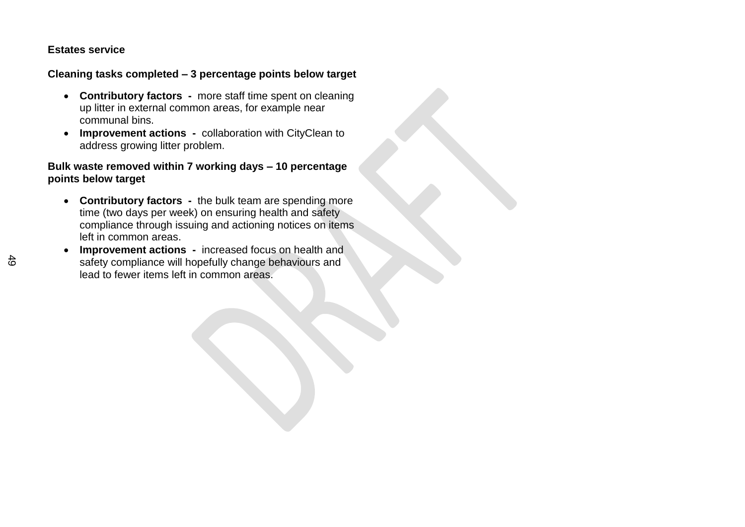#### **Estates service**

#### **Cleaning tasks completed – 3 percentage points below target**

- **Contributory factors -** more staff time spent on cleaning up litter in external common areas, for example near communal bins.
- **Improvement actions -** collaboration with CityClean to address growing litter problem.

#### **Bulk waste removed within 7 working days – 10 percentage points below target**

- **Contributory factors -** the bulk team are spending more time (two days per week) on ensuring health and safety compliance through issuing and actioning notices on items left in common areas.
- **Improvement actions -** increased focus on health and safety compliance will hopefully change behaviours and lead to fewer items left in common areas.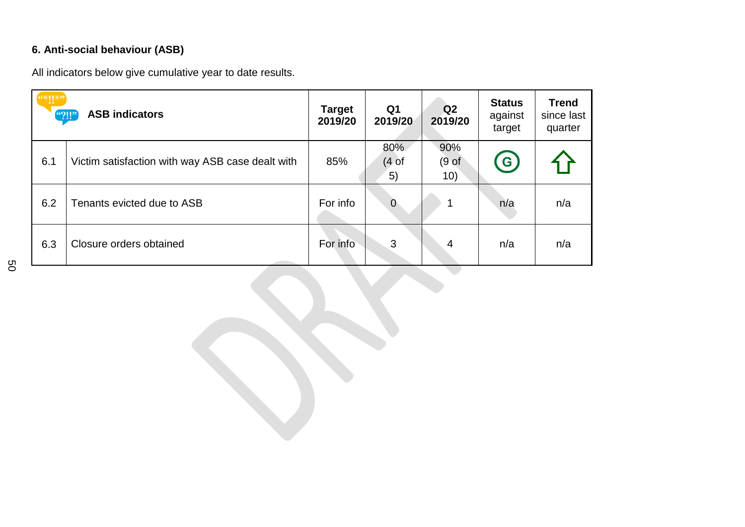# **6. Anti-social behaviour (ASB)**

All indicators below give cumulative year to date results.

| $\left( \mathbf{``?} \right)$ | <b>ASB indicators</b>                            | <b>Target</b><br>2019/20 | Q <sub>1</sub><br>2019/20       | Q <sub>2</sub><br>2019/20 | <b>Status</b><br>against<br>target | <b>Trend</b><br>since last<br>quarter |
|-------------------------------|--------------------------------------------------|--------------------------|---------------------------------|---------------------------|------------------------------------|---------------------------------------|
| 6.1                           | Victim satisfaction with way ASB case dealt with | 85%                      | 80%<br>(4 <sub>of</sub> )<br>5) | 90%<br>(9 of<br>10)       | $\mathbf{G}$                       |                                       |
| 6.2                           | Tenants evicted due to ASB                       | For info                 | $\mathbf 0$                     |                           | n/a                                | n/a                                   |
| 6.3                           | Closure orders obtained                          | For info                 | 3                               | 4                         | n/a                                | n/a                                   |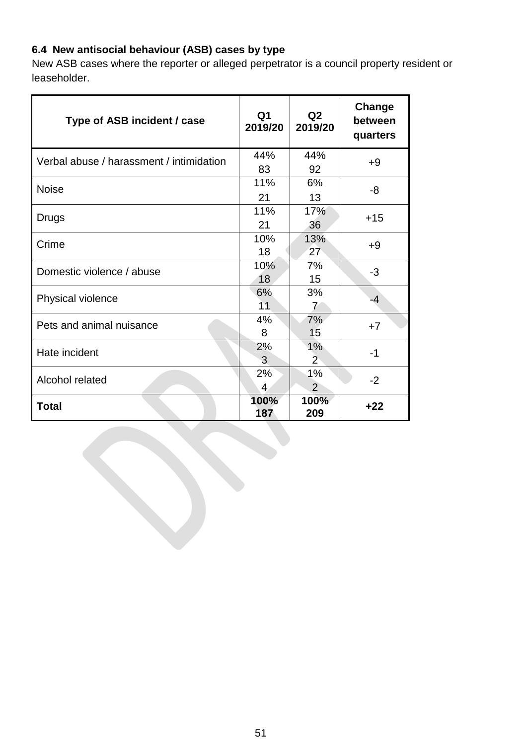## **6.4 New antisocial behaviour (ASB) cases by type**

New ASB cases where the reporter or alleged perpetrator is a council property resident or leaseholder.

| Type of ASB incident / case              | Q <sub>1</sub><br>2019/20 | Q2<br>2019/20        | Change<br>between<br>quarters |
|------------------------------------------|---------------------------|----------------------|-------------------------------|
| Verbal abuse / harassment / intimidation | 44%<br>83                 | 44%<br>92            | $+9$                          |
| <b>Noise</b>                             | 11%<br>21                 | 6%<br>13             | -8                            |
| <b>Drugs</b>                             | 11%<br>21                 | 17%<br>36            | $+15$                         |
| Crime                                    | 10%<br>18                 | 13%<br>27            | $+9$                          |
| Domestic violence / abuse                | 10%<br>18                 | 7%<br>15             | $-3$                          |
| Physical violence                        | 6%<br>11                  | 3%<br>$\overline{7}$ | -4                            |
| Pets and animal nuisance                 | 4%<br>8                   | 7%<br>15             | $+7$                          |
| Hate incident                            | 2%<br>3                   | $1\%$<br>$2^{\circ}$ | $-1$                          |
| Alcohol related                          | 2%<br>$\overline{4}$      | 1%<br>$\overline{2}$ | $-2$                          |
| Total                                    | 100%<br>187               | 100%<br>209          | $+22$                         |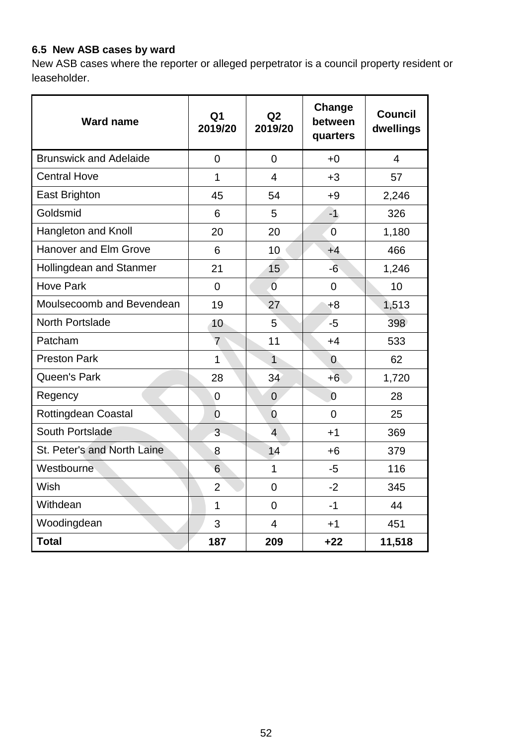## **6.5 New ASB cases by ward**

New ASB cases where the reporter or alleged perpetrator is a council property resident or leaseholder.

| <b>Ward name</b>              | Q <sub>1</sub><br>2019/20 | Q2<br>2019/20  | Change<br>between<br>quarters | <b>Council</b><br>dwellings |
|-------------------------------|---------------------------|----------------|-------------------------------|-----------------------------|
| <b>Brunswick and Adelaide</b> | $\overline{0}$            | $\overline{0}$ | $+0$                          | $\overline{4}$              |
| <b>Central Hove</b>           | 1                         | $\overline{4}$ | $+3$                          | 57                          |
| <b>East Brighton</b>          | 45                        | 54             | $+9$                          | 2,246                       |
| Goldsmid                      | 6                         | 5              | $-1$                          | 326                         |
| Hangleton and Knoll           | 20                        | 20             | $\overline{0}$                | 1,180                       |
| <b>Hanover and Elm Grove</b>  | 6                         | 10             | $+4$                          | 466                         |
| Hollingdean and Stanmer       | 21                        | 15             | $-6$                          | 1,246                       |
| <b>Hove Park</b>              | $\overline{0}$            | $\overline{0}$ | $\overline{0}$                | 10                          |
| Moulsecoomb and Bevendean     | 19                        | 27             | $+8$                          | 1,513                       |
| <b>North Portslade</b>        | 10                        | 5              | $-5$                          | 398                         |
| Patcham                       | $\overline{7}$            | 11             | $+4$                          | 533                         |
| <b>Preston Park</b>           | $\mathbf{1}$              | $\mathbf{1}$   | $\mathbf{0}$                  | 62                          |
| Queen's Park                  | 28                        | 34             | $+6$                          | 1,720                       |
| Regency                       | 0                         | $\overline{0}$ | $\overline{0}$                | 28                          |
| <b>Rottingdean Coastal</b>    | $\overline{0}$            | $\overline{0}$ | $\overline{0}$                | 25                          |
| South Portslade               | 3                         | $\overline{4}$ | $+1$                          | 369                         |
| St. Peter's and North Laine   | 8                         | 14             | $+6$                          | 379                         |
| Westbourne                    | 6                         | $\mathbf 1$    | $-5$                          | 116                         |
| Wish                          | $\overline{2}$            | $\overline{0}$ | $-2$                          | 345                         |
| Withdean                      | $\mathbf{1}$              | $\overline{0}$ | $-1$                          | 44                          |
| Woodingdean                   | 3                         | $\overline{4}$ | $+1$                          | 451                         |
| <b>Total</b>                  | 187                       | 209            | $+22$                         | 11,518                      |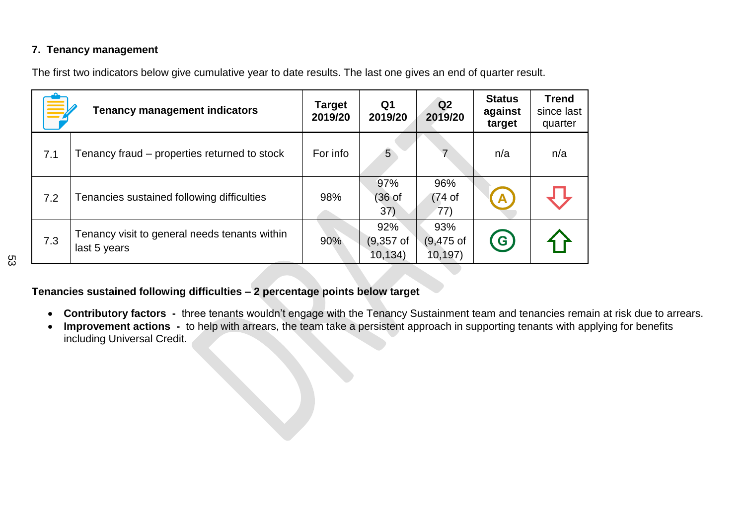### **7. Tenancy management**

The first two indicators below give cumulative year to date results. The last one gives an end of quarter result.

|     | <b>Tenancy management indicators</b>                          | <b>Target</b><br>2019/20 | Q <sub>1</sub><br>2019/20         | Q <sub>2</sub><br>2019/20          | <b>Status</b><br>against<br>target | <b>Trend</b><br>since last<br>quarter |
|-----|---------------------------------------------------------------|--------------------------|-----------------------------------|------------------------------------|------------------------------------|---------------------------------------|
| 7.1 | Tenancy fraud – properties returned to stock                  | For info                 | 5                                 | 7                                  | n/a                                | n/a                                   |
| 7.2 | Tenancies sustained following difficulties                    | 98%                      | 97%<br>(36 <sub>of</sub> )<br>37) | 96%<br>(74 <sub>of</sub> )<br>(77) | $\mathbf{A}$                       |                                       |
| 7.3 | Tenancy visit to general needs tenants within<br>last 5 years | 90%                      | 92%<br>$(9,357$ of<br>10, 134)    | 93%<br>$(9,475$ of<br>10, 197)     | G                                  |                                       |

### **Tenancies sustained following difficulties – 2 percentage points below target**

- **Contributory factors -** three tenants wouldn't engage with the Tenancy Sustainment team and tenancies remain at risk due to arrears.
- **Improvement actions -** to help with arrears, the team take a persistent approach in supporting tenants with applying for benefits including Universal Credit.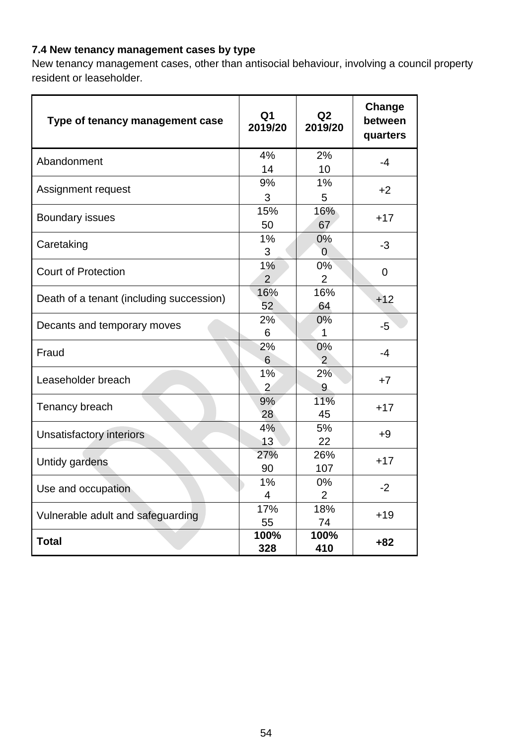## **7.4 New tenancy management cases by type**

New tenancy management cases, other than antisocial behaviour, involving a council property resident or leaseholder.

| Type of tenancy management case          | Q <sub>1</sub><br>2019/20 | Q <sub>2</sub><br>2019/20 | Change<br>between<br>quarters |
|------------------------------------------|---------------------------|---------------------------|-------------------------------|
| Abandonment                              | 4%<br>14                  | 2%<br>10                  | -4                            |
| Assignment request                       | 9%<br>3                   | 1%<br>5                   | $+2$                          |
| <b>Boundary issues</b>                   | 15%<br>50                 | 16%<br>67                 | $+17$                         |
| Caretaking                               | 1%<br>3                   | $0\%$<br>$\overline{0}$   | $-3$                          |
| <b>Court of Protection</b>               | 1%<br>$\overline{2}$      | 0%<br>$\overline{2}$      | $\overline{0}$                |
| Death of a tenant (including succession) | 16%<br>52                 | 16%<br>64                 | $+12$                         |
| Decants and temporary moves              | 2%<br>6                   | $0\%$<br>$\mathbf{1}$     | -5                            |
| Fraud                                    | 2%<br>6                   | 0%<br>$\mathcal{P}$       | $-4$                          |
| Leaseholder breach                       | 1%<br>$\overline{2}$      | 2%<br>9                   | $+7$                          |
| Tenancy breach                           | 9%<br>28                  | 11%<br>45                 | $+17$                         |
| Unsatisfactory interiors                 | 4%<br>13                  | 5%<br>22                  | +9                            |
| Untidy gardens                           | 27%<br>90                 | 26%<br>107                | $+17$                         |
| Use and occupation                       | 1%<br>$\overline{4}$      | $0\%$<br>$\overline{2}$   | $-2$                          |
| Vulnerable adult and safeguarding        | 17%<br>55                 | 18%<br>74                 | $+19$                         |
| <b>Total</b>                             | 100%<br>328               | 100%<br>410               | $+82$                         |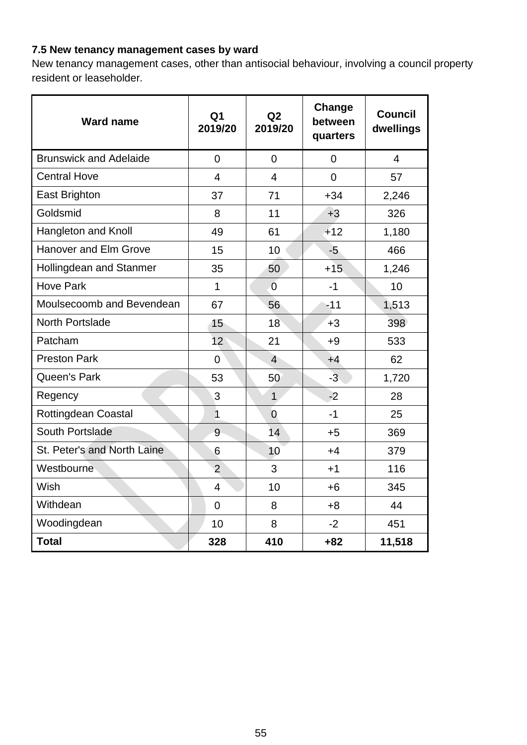## **7.5 New tenancy management cases by ward**

New tenancy management cases, other than antisocial behaviour, involving a council property resident or leaseholder.

| <b>Ward name</b>              | Q <sub>1</sub><br>2019/20 | Q <sub>2</sub><br>2019/20 | Change<br>between<br>quarters | <b>Council</b><br>dwellings |
|-------------------------------|---------------------------|---------------------------|-------------------------------|-----------------------------|
| <b>Brunswick and Adelaide</b> | $\overline{0}$            | $\overline{0}$            | $\overline{0}$                | $\overline{4}$              |
| <b>Central Hove</b>           | $\overline{4}$            | $\overline{4}$            | $\Omega$                      | 57                          |
| East Brighton                 | 37                        | 71                        | $+34$                         | 2,246                       |
| Goldsmid                      | 8                         | 11                        | $+3$                          | 326                         |
| Hangleton and Knoll           | 49                        | 61                        | $+12$                         | 1,180                       |
| <b>Hanover and Elm Grove</b>  | 15                        | 10                        | $-5$                          | 466                         |
| Hollingdean and Stanmer       | 35                        | 50                        | $+15$                         | 1,246                       |
| <b>Hove Park</b>              | $\mathbf{1}$              | $\overline{0}$            | $-1$                          | 10                          |
| Moulsecoomb and Bevendean     | 67                        | 56                        | $-11$                         | 1,513                       |
| <b>North Portslade</b>        | 15                        | 18                        | $+3$                          | 398                         |
| Patcham                       | 12 <sup>2</sup>           | 21                        | $+9$                          | 533                         |
| <b>Preston Park</b>           | $\overline{0}$            | $\overline{4}$            | $+4$                          | 62                          |
| Queen's Park                  | 53                        | 50                        | $-3$                          | 1,720                       |
| Regency                       | 3                         | $\mathbf{1}$              | $-2$                          | 28                          |
| <b>Rottingdean Coastal</b>    | $\mathbf{1}$              | $\overline{0}$            | $-1$                          | 25                          |
| South Portslade               | 9                         | 14                        | $+5$                          | 369                         |
| St. Peter's and North Laine   | 6                         | 10                        | $+4$                          | 379                         |
| Westbourne                    | $\overline{2}$            | 3                         | $+1$                          | 116                         |
| Wish                          | $\overline{4}$            | 10                        | $+6$                          | 345                         |
| Withdean                      | $\overline{0}$            | 8                         | $+8$                          | 44                          |
| Woodingdean                   | 10                        | 8                         | $-2$                          | 451                         |
| <b>Total</b>                  | 328                       | 410                       | $+82$                         | 11,518                      |